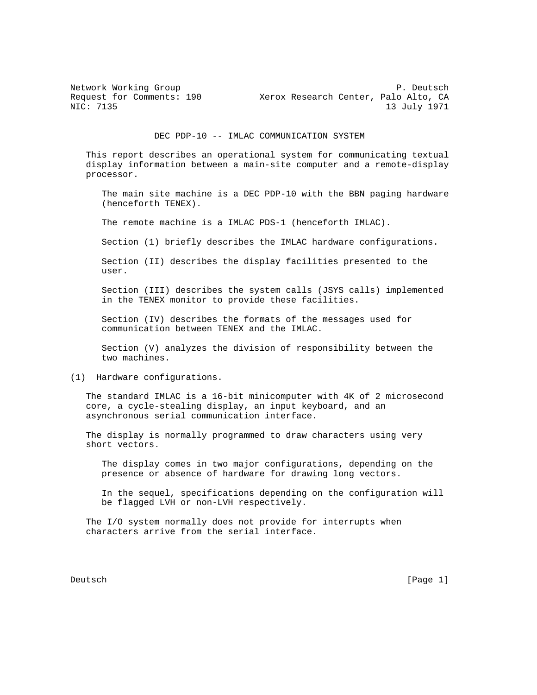Network Working Group **P. Deutsch** Request for Comments: 190 Xerox Research Center, Palo Alto, CA<br>NIC: 7135 13 July 1971 13 July 1971

DEC PDP-10 -- IMLAC COMMUNICATION SYSTEM

 This report describes an operational system for communicating textual display information between a main-site computer and a remote-display processor.

 The main site machine is a DEC PDP-10 with the BBN paging hardware (henceforth TENEX).

The remote machine is a IMLAC PDS-1 (henceforth IMLAC).

Section (1) briefly describes the IMLAC hardware configurations.

 Section (II) describes the display facilities presented to the user.

 Section (III) describes the system calls (JSYS calls) implemented in the TENEX monitor to provide these facilities.

 Section (IV) describes the formats of the messages used for communication between TENEX and the IMLAC.

 Section (V) analyzes the division of responsibility between the two machines.

## (1) Hardware configurations.

 The standard IMLAC is a 16-bit minicomputer with 4K of 2 microsecond core, a cycle-stealing display, an input keyboard, and an asynchronous serial communication interface.

 The display is normally programmed to draw characters using very short vectors.

 The display comes in two major configurations, depending on the presence or absence of hardware for drawing long vectors.

 In the sequel, specifications depending on the configuration will be flagged LVH or non-LVH respectively.

 The I/O system normally does not provide for interrupts when characters arrive from the serial interface.

Deutsch [Page 1]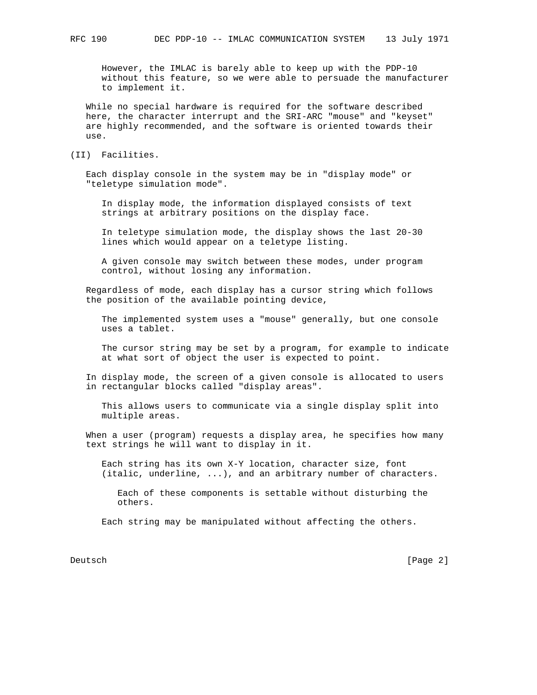However, the IMLAC is barely able to keep up with the PDP-10 without this feature, so we were able to persuade the manufacturer to implement it.

 While no special hardware is required for the software described here, the character interrupt and the SRI-ARC "mouse" and "keyset" are highly recommended, and the software is oriented towards their use.

(II) Facilities.

 Each display console in the system may be in "display mode" or "teletype simulation mode".

 In display mode, the information displayed consists of text strings at arbitrary positions on the display face.

 In teletype simulation mode, the display shows the last 20-30 lines which would appear on a teletype listing.

 A given console may switch between these modes, under program control, without losing any information.

 Regardless of mode, each display has a cursor string which follows the position of the available pointing device,

 The implemented system uses a "mouse" generally, but one console uses a tablet.

 The cursor string may be set by a program, for example to indicate at what sort of object the user is expected to point.

 In display mode, the screen of a given console is allocated to users in rectangular blocks called "display areas".

 This allows users to communicate via a single display split into multiple areas.

 When a user (program) requests a display area, he specifies how many text strings he will want to display in it.

 Each string has its own X-Y location, character size, font (italic, underline, ...), and an arbitrary number of characters.

 Each of these components is settable without disturbing the others.

Each string may be manipulated without affecting the others.

Deutsch [Page 2]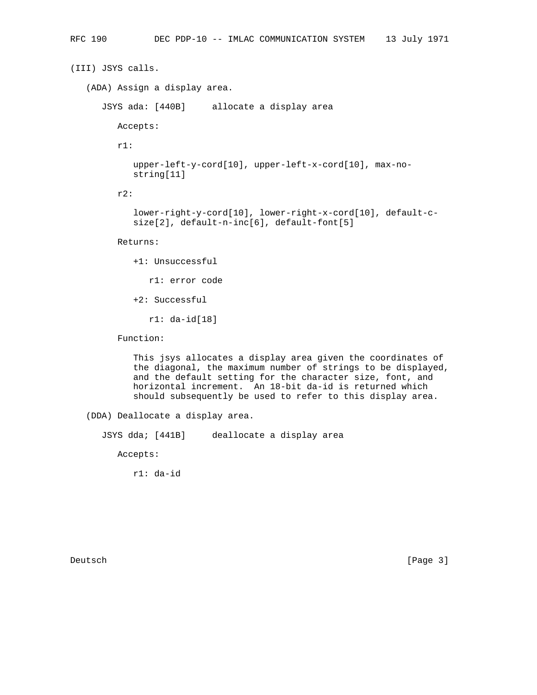```
(III) JSYS calls.
(ADA) Assign a display area.
   JSYS ada: [440B] allocate a display area
      Accepts:
      r1:
         upper-left-y-cord[10], upper-left-x-cord[10], max-no-
         string[11]
      r2:
         lower-right-y-cord[10], lower-right-x-cord[10], default-c-
         size[2], default-n-inc[6], default-font[5]
      Returns:
         +1: Unsuccessful
            r1: error code
         +2: Successful
            r1: da-id[18]
      Function:
```
 This jsys allocates a display area given the coordinates of the diagonal, the maximum number of strings to be displayed, and the default setting for the character size, font, and horizontal increment. An 18-bit da-id is returned which should subsequently be used to refer to this display area.

(DDA) Deallocate a display area.

JSYS dda; [441B] deallocate a display area

Accepts:

r1: da-id

Deutsch [Page 3]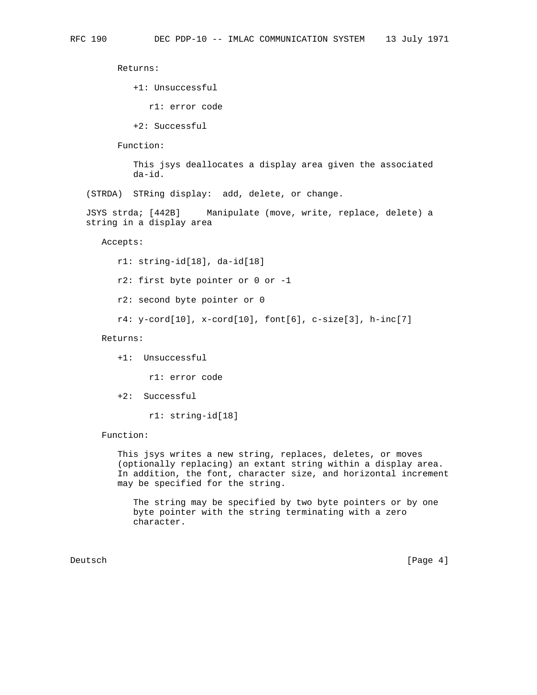Returns:

+1: Unsuccessful

r1: error code

+2: Successful

Function:

 This jsys deallocates a display area given the associated da-id.

(STRDA) STRing display: add, delete, or change.

 JSYS strda; [442B] Manipulate (move, write, replace, delete) a string in a display area

Accepts:

r1: string-id[18], da-id[18]

r2: first byte pointer or 0 or -1

r2: second byte pointer or 0

r4: y-cord[10], x-cord[10], font[6], c-size[3], h-inc[7]

Returns:

+1: Unsuccessful

r1: error code

+2: Successful

r1: string-id[18]

Function:

 This jsys writes a new string, replaces, deletes, or moves (optionally replacing) an extant string within a display area. In addition, the font, character size, and horizontal increment may be specified for the string.

 The string may be specified by two byte pointers or by one byte pointer with the string terminating with a zero character.

Deutsch [Page 4]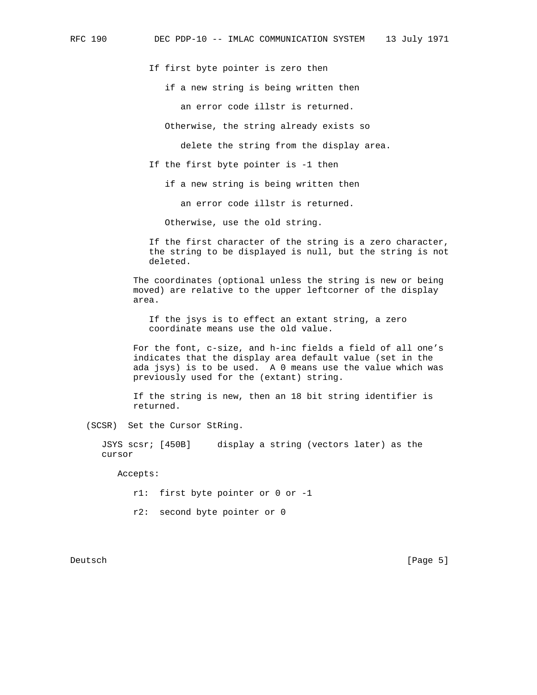If first byte pointer is zero then

if a new string is being written then

an error code illstr is returned.

Otherwise, the string already exists so

delete the string from the display area.

If the first byte pointer is -1 then

if a new string is being written then

an error code illstr is returned.

Otherwise, use the old string.

 If the first character of the string is a zero character, the string to be displayed is null, but the string is not deleted.

 The coordinates (optional unless the string is new or being moved) are relative to the upper leftcorner of the display area.

 If the jsys is to effect an extant string, a zero coordinate means use the old value.

 For the font, c-size, and h-inc fields a field of all one's indicates that the display area default value (set in the ada jsys) is to be used. A 0 means use the value which was previously used for the (extant) string.

 If the string is new, then an 18 bit string identifier is returned.

(SCSR) Set the Cursor StRing.

 JSYS scsr; [450B] display a string (vectors later) as the cursor

Accepts:

- r1: first byte pointer or 0 or -1
- r2: second byte pointer or 0

Deutsch [Page 5]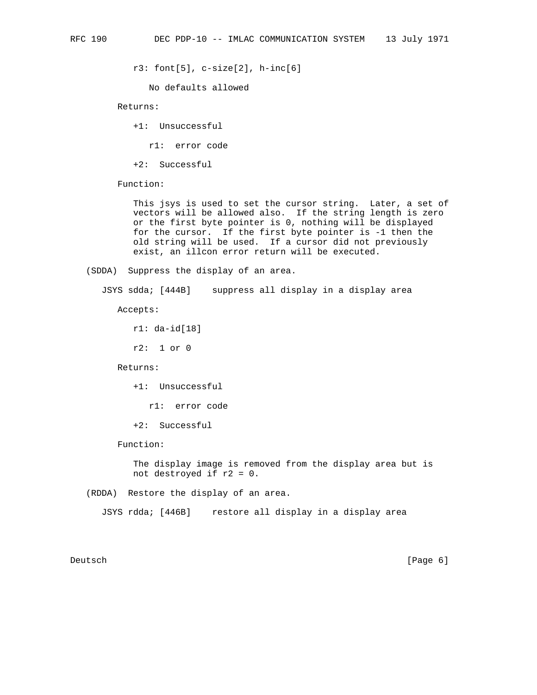r3: font[5], c-size[2], h-inc[6]

No defaults allowed

Returns:

+1: Unsuccessful

r1: error code

+2: Successful

Function:

 This jsys is used to set the cursor string. Later, a set of vectors will be allowed also. If the string length is zero or the first byte pointer is 0, nothing will be displayed for the cursor. If the first byte pointer is -1 then the old string will be used. If a cursor did not previously exist, an illcon error return will be executed.

(SDDA) Suppress the display of an area.

JSYS sdda; [444B] suppress all display in a display area

Accepts:

r1: da-id[18]

r2: 1 or 0

Returns:

+1: Unsuccessful

r1: error code

+2: Successful

Function:

 The display image is removed from the display area but is not destroyed if r2 = 0.

(RDDA) Restore the display of an area.

JSYS rdda; [446B] restore all display in a display area

Deutsch [Page 6]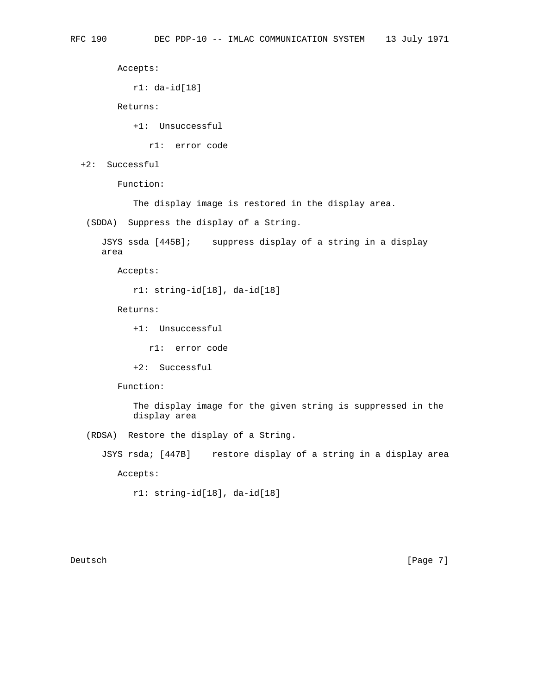Accepts:

```
 r1: da-id[18]
```
Returns:

+1: Unsuccessful

r1: error code

+2: Successful

Function:

The display image is restored in the display area.

(SDDA) Suppress the display of a String.

 JSYS ssda [445B]; suppress display of a string in a display area

Accepts:

r1: string-id[18], da-id[18]

Returns:

+1: Unsuccessful

r1: error code

+2: Successful

Function:

 The display image for the given string is suppressed in the display area

(RDSA) Restore the display of a String.

JSYS rsda; [447B] restore display of a string in a display area

Accepts:

r1: string-id[18], da-id[18]

Deutsch [Page 7]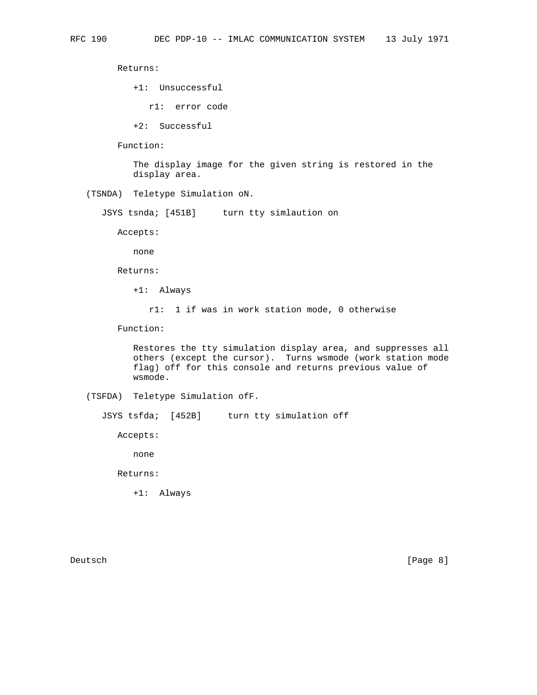Returns:

- +1: Unsuccessful
	- r1: error code
- +2: Successful
- Function:

 The display image for the given string is restored in the display area.

(TSNDA) Teletype Simulation oN.

JSYS tsnda; [451B] turn tty simlaution on

Accepts:

none

Returns:

+1: Always

r1: 1 if was in work station mode, 0 otherwise

Function:

 Restores the tty simulation display area, and suppresses all others (except the cursor). Turns wsmode (work station mode flag) off for this console and returns previous value of wsmode.

```
 (TSFDA) Teletype Simulation ofF.
```
JSYS tsfda; [452B] turn tty simulation off

Accepts:

none

Returns:

+1: Always

Deutsch [Page 8]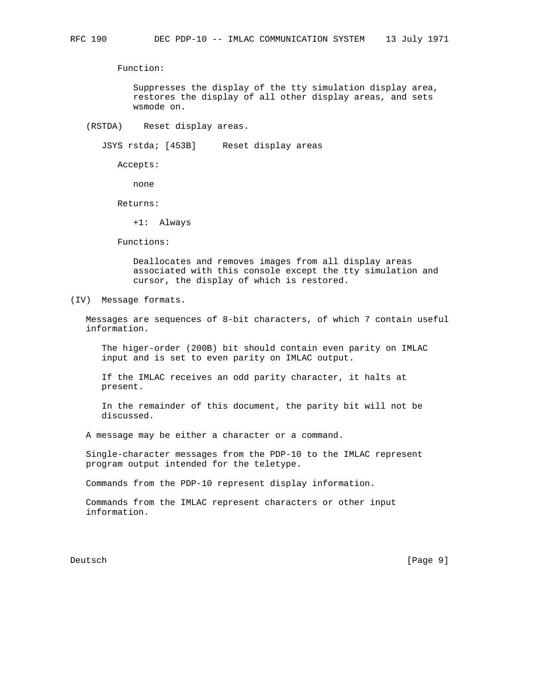Function:

 Suppresses the display of the tty simulation display area, restores the display of all other display areas, and sets wsmode on.

(RSTDA) Reset display areas.

JSYS rstda; [453B] Reset display areas

Accepts:

none

Returns:

+1: Always

Functions:

 Deallocates and removes images from all display areas associated with this console except the tty simulation and cursor, the display of which is restored.

(IV) Message formats.

 Messages are sequences of 8-bit characters, of which 7 contain useful information.

 The higer-order (200B) bit should contain even parity on IMLAC input and is set to even parity on IMLAC output.

 If the IMLAC receives an odd parity character, it halts at present.

 In the remainder of this document, the parity bit will not be discussed.

A message may be either a character or a command.

 Single-character messages from the PDP-10 to the IMLAC represent program output intended for the teletype.

Commands from the PDP-10 represent display information.

 Commands from the IMLAC represent characters or other input information.

Deutsch [Page 9]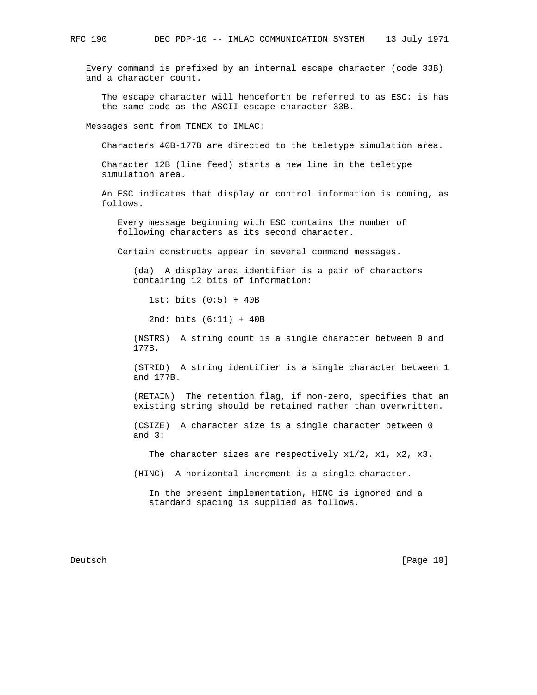Every command is prefixed by an internal escape character (code 33B) and a character count.

 The escape character will henceforth be referred to as ESC: is has the same code as the ASCII escape character 33B.

Messages sent from TENEX to IMLAC:

Characters 40B-177B are directed to the teletype simulation area.

 Character 12B (line feed) starts a new line in the teletype simulation area.

 An ESC indicates that display or control information is coming, as follows.

 Every message beginning with ESC contains the number of following characters as its second character.

Certain constructs appear in several command messages.

 (da) A display area identifier is a pair of characters containing 12 bits of information:

1st: bits (0:5) + 40B

2nd: bits (6:11) + 40B

 (NSTRS) A string count is a single character between 0 and 177B.

 (STRID) A string identifier is a single character between 1 and 177B.

 (RETAIN) The retention flag, if non-zero, specifies that an existing string should be retained rather than overwritten.

 (CSIZE) A character size is a single character between 0 and 3:

The character sizes are respectively x1/2, x1, x2, x3.

(HINC) A horizontal increment is a single character.

 In the present implementation, HINC is ignored and a standard spacing is supplied as follows.

Deutsch [Page 10]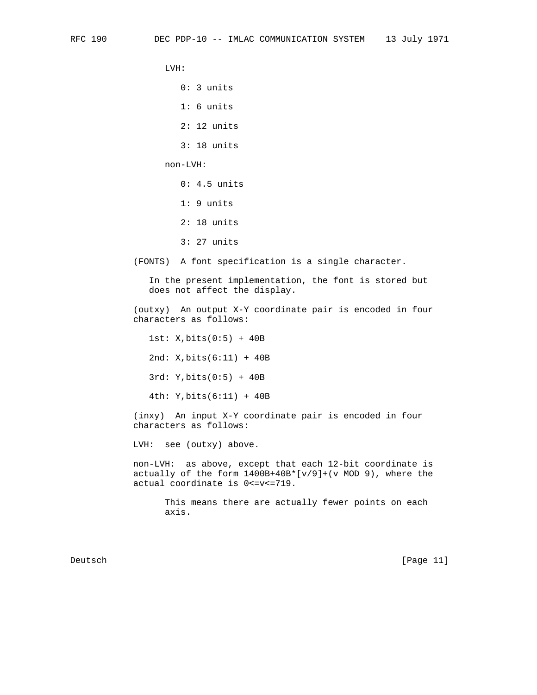LVH:

0: 3 units

1: 6 units

2: 12 units

3: 18 units

non-LVH:

- 0: 4.5 units
- 1: 9 units
- 2: 18 units
- 3: 27 units

(FONTS) A font specification is a single character.

 In the present implementation, the font is stored but does not affect the display.

 (outxy) An output X-Y coordinate pair is encoded in four characters as follows:

1st: X,bits(0:5) + 40B

2nd: X,bits(6:11) + 40B

3rd: Y,bits(0:5) + 40B

4th: Y,bits(6:11) + 40B

 (inxy) An input X-Y coordinate pair is encoded in four characters as follows:

LVH: see (outxy) above.

 non-LVH: as above, except that each 12-bit coordinate is actually of the form 1400B+40B\*[v/9]+(v MOD 9), where the actual coordinate is 0<=v<=719.

> This means there are actually fewer points on each axis.

Deutsch [Page 11]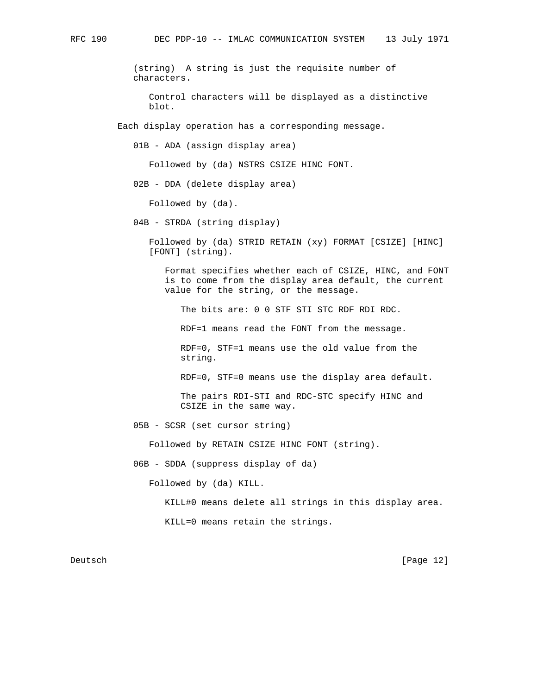(string) A string is just the requisite number of characters.

 Control characters will be displayed as a distinctive blot.

Each display operation has a corresponding message.

01B - ADA (assign display area)

Followed by (da) NSTRS CSIZE HINC FONT.

02B - DDA (delete display area)

Followed by (da).

04B - STRDA (string display)

 Followed by (da) STRID RETAIN (xy) FORMAT [CSIZE] [HINC] [FONT] (string).

 Format specifies whether each of CSIZE, HINC, and FONT is to come from the display area default, the current value for the string, or the message.

The bits are: 0 0 STF STI STC RDF RDI RDC.

RDF=1 means read the FONT from the message.

 RDF=0, STF=1 means use the old value from the string.

RDF=0, STF=0 means use the display area default.

 The pairs RDI-STI and RDC-STC specify HINC and CSIZE in the same way.

05B - SCSR (set cursor string)

Followed by RETAIN CSIZE HINC FONT (string).

06B - SDDA (suppress display of da)

Followed by (da) KILL.

KILL#0 means delete all strings in this display area.

KILL=0 means retain the strings.

Deutsch [Page 12]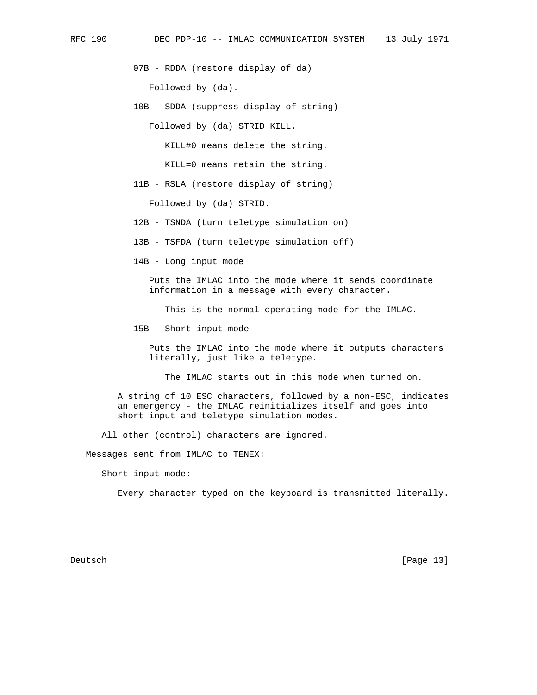07B - RDDA (restore display of da)

Followed by (da).

10B - SDDA (suppress display of string)

Followed by (da) STRID KILL.

KILL#0 means delete the string.

KILL=0 means retain the string.

11B - RSLA (restore display of string)

Followed by (da) STRID.

12B - TSNDA (turn teletype simulation on)

13B - TSFDA (turn teletype simulation off)

14B - Long input mode

 Puts the IMLAC into the mode where it sends coordinate information in a message with every character.

This is the normal operating mode for the IMLAC.

15B - Short input mode

 Puts the IMLAC into the mode where it outputs characters literally, just like a teletype.

The IMLAC starts out in this mode when turned on.

 A string of 10 ESC characters, followed by a non-ESC, indicates an emergency - the IMLAC reinitializes itself and goes into short input and teletype simulation modes.

All other (control) characters are ignored.

Messages sent from IMLAC to TENEX:

Short input mode:

Every character typed on the keyboard is transmitted literally.

Deutsch [Page 13]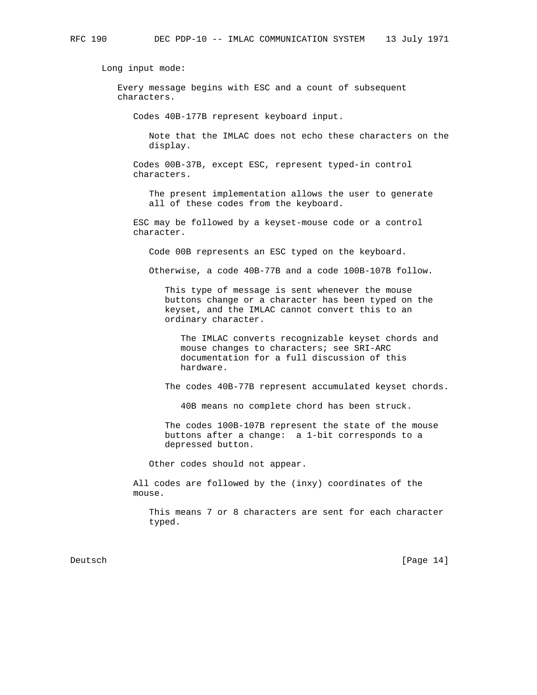Long input mode:

 Every message begins with ESC and a count of subsequent characters.

Codes 40B-177B represent keyboard input.

 Note that the IMLAC does not echo these characters on the display.

 Codes 00B-37B, except ESC, represent typed-in control characters.

 The present implementation allows the user to generate all of these codes from the keyboard.

 ESC may be followed by a keyset-mouse code or a control character.

Code 00B represents an ESC typed on the keyboard.

Otherwise, a code 40B-77B and a code 100B-107B follow.

 This type of message is sent whenever the mouse buttons change or a character has been typed on the keyset, and the IMLAC cannot convert this to an ordinary character.

 The IMLAC converts recognizable keyset chords and mouse changes to characters; see SRI-ARC documentation for a full discussion of this hardware.

The codes 40B-77B represent accumulated keyset chords.

40B means no complete chord has been struck.

 The codes 100B-107B represent the state of the mouse buttons after a change: a 1-bit corresponds to a depressed button.

Other codes should not appear.

 All codes are followed by the (inxy) coordinates of the mouse.

 This means 7 or 8 characters are sent for each character typed.

Deutsch [Page 14]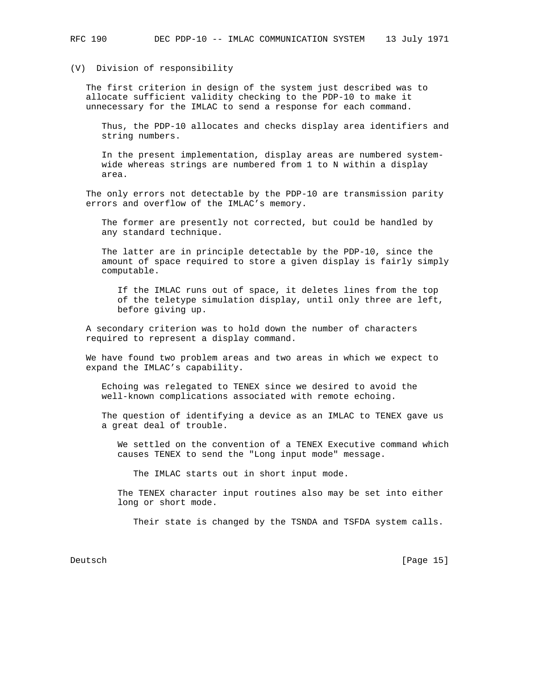## (V) Division of responsibility

 The first criterion in design of the system just described was to allocate sufficient validity checking to the PDP-10 to make it unnecessary for the IMLAC to send a response for each command.

 Thus, the PDP-10 allocates and checks display area identifiers and string numbers.

 In the present implementation, display areas are numbered system wide whereas strings are numbered from 1 to N within a display area.

 The only errors not detectable by the PDP-10 are transmission parity errors and overflow of the IMLAC's memory.

 The former are presently not corrected, but could be handled by any standard technique.

 The latter are in principle detectable by the PDP-10, since the amount of space required to store a given display is fairly simply computable.

 If the IMLAC runs out of space, it deletes lines from the top of the teletype simulation display, until only three are left, before giving up.

 A secondary criterion was to hold down the number of characters required to represent a display command.

 We have found two problem areas and two areas in which we expect to expand the IMLAC's capability.

 Echoing was relegated to TENEX since we desired to avoid the well-known complications associated with remote echoing.

 The question of identifying a device as an IMLAC to TENEX gave us a great deal of trouble.

 We settled on the convention of a TENEX Executive command which causes TENEX to send the "Long input mode" message.

The IMLAC starts out in short input mode.

 The TENEX character input routines also may be set into either long or short mode.

Their state is changed by the TSNDA and TSFDA system calls.

Deutsch [Page 15]